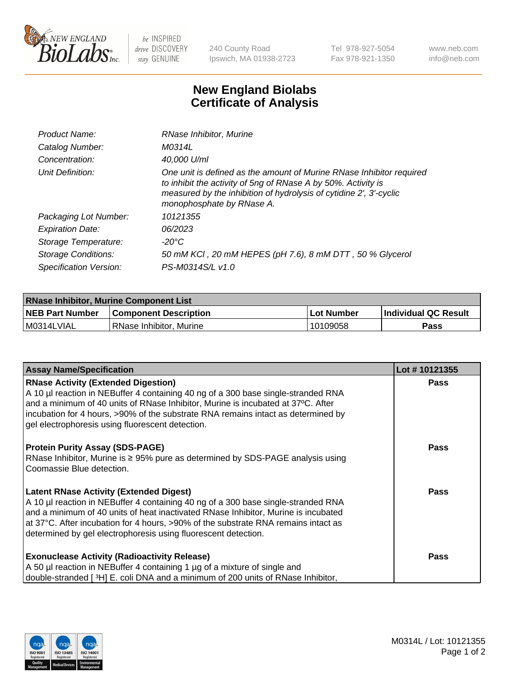

 $be$  INSPIRED drive DISCOVERY stay GENUINE

240 County Road Ipswich, MA 01938-2723 Tel 978-927-5054 Fax 978-921-1350 www.neb.com info@neb.com

## **New England Biolabs Certificate of Analysis**

| Product Name:           | RNase Inhibitor, Murine                                                                                                                                                                                                                  |
|-------------------------|------------------------------------------------------------------------------------------------------------------------------------------------------------------------------------------------------------------------------------------|
| Catalog Number:         | M0314L                                                                                                                                                                                                                                   |
| Concentration:          | 40,000 U/ml                                                                                                                                                                                                                              |
| Unit Definition:        | One unit is defined as the amount of Murine RNase Inhibitor required<br>to inhibit the activity of 5ng of RNase A by 50%. Activity is<br>measured by the inhibition of hydrolysis of cytidine 2', 3'-cyclic<br>monophosphate by RNase A. |
| Packaging Lot Number:   | 10121355                                                                                                                                                                                                                                 |
| <b>Expiration Date:</b> | 06/2023                                                                                                                                                                                                                                  |
| Storage Temperature:    | -20°C                                                                                                                                                                                                                                    |
| Storage Conditions:     | 50 mM KCI, 20 mM HEPES (pH 7.6), 8 mM DTT, 50 % Glycerol                                                                                                                                                                                 |
| Specification Version:  | PS-M0314S/L v1.0                                                                                                                                                                                                                         |

| <b>RNase Inhibitor, Murine Component List</b> |                              |              |                             |  |
|-----------------------------------------------|------------------------------|--------------|-----------------------------|--|
| <b>NEB Part Number</b>                        | <b>Component Description</b> | l Lot Number | <b>Individual QC Result</b> |  |
| M0314LVIAL                                    | l RNase Inhibitor. Murine    | 10109058     | Pass                        |  |

| <b>Assay Name/Specification</b>                                                                                                                                       | Lot #10121355 |
|-----------------------------------------------------------------------------------------------------------------------------------------------------------------------|---------------|
| <b>RNase Activity (Extended Digestion)</b>                                                                                                                            | <b>Pass</b>   |
| A 10 µl reaction in NEBuffer 4 containing 40 ng of a 300 base single-stranded RNA<br>and a minimum of 40 units of RNase Inhibitor, Murine is incubated at 37°C. After |               |
| incubation for 4 hours, >90% of the substrate RNA remains intact as determined by                                                                                     |               |
| gel electrophoresis using fluorescent detection.                                                                                                                      |               |
| <b>Protein Purity Assay (SDS-PAGE)</b>                                                                                                                                | <b>Pass</b>   |
| RNase Inhibitor, Murine is ≥ 95% pure as determined by SDS-PAGE analysis using<br>Coomassie Blue detection.                                                           |               |
|                                                                                                                                                                       |               |
| <b>Latent RNase Activity (Extended Digest)</b>                                                                                                                        | Pass          |
| A 10 µl reaction in NEBuffer 4 containing 40 ng of a 300 base single-stranded RNA                                                                                     |               |
| and a minimum of 40 units of heat inactivated RNase Inhibitor, Murine is incubated                                                                                    |               |
| at 37°C. After incubation for 4 hours, >90% of the substrate RNA remains intact as<br>determined by gel electrophoresis using fluorescent detection.                  |               |
|                                                                                                                                                                       |               |
| <b>Exonuclease Activity (Radioactivity Release)</b>                                                                                                                   | Pass          |
| A 50 µl reaction in NEBuffer 4 containing 1 µg of a mixture of single and                                                                                             |               |
| double-stranded [3H] E. coli DNA and a minimum of 200 units of RNase Inhibitor,                                                                                       |               |